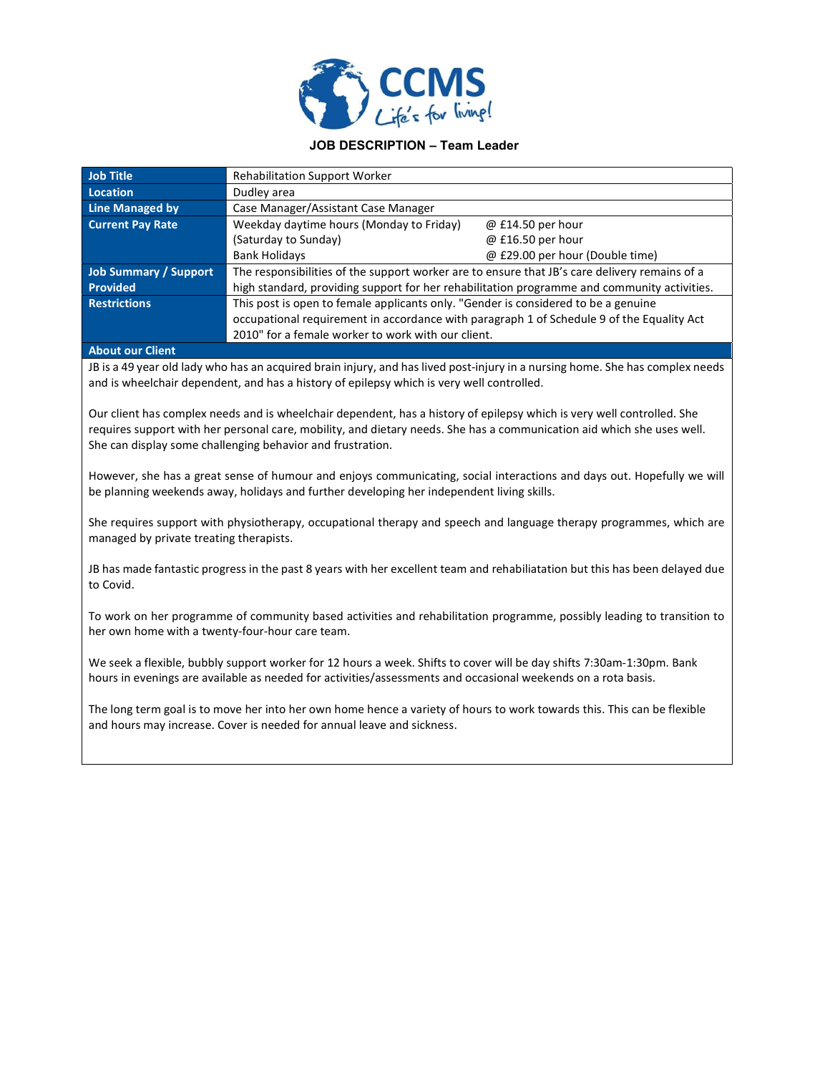

## JOB DESCRIPTION – Team Leader

| <b>Job Title</b>                            | <b>Rehabilitation Support Worker</b>                                                          |                                 |
|---------------------------------------------|-----------------------------------------------------------------------------------------------|---------------------------------|
| <b>Location</b>                             | Dudley area                                                                                   |                                 |
| <b>Line Managed by</b>                      | Case Manager/Assistant Case Manager                                                           |                                 |
| <b>Current Pay Rate</b>                     | Weekday daytime hours (Monday to Friday)                                                      | @ £14.50 per hour               |
|                                             | (Saturday to Sunday)                                                                          | @ £16.50 per hour               |
|                                             | <b>Bank Holidays</b>                                                                          | @ £29.00 per hour (Double time) |
| <b>Job Summary / Support</b>                | The responsibilities of the support worker are to ensure that JB's care delivery remains of a |                                 |
| <b>Provided</b>                             | high standard, providing support for her rehabilitation programme and community activities.   |                                 |
| <b>Restrictions</b>                         | This post is open to female applicants only. "Gender is considered to be a genuine            |                                 |
|                                             | occupational requirement in accordance with paragraph 1 of Schedule 9 of the Equality Act     |                                 |
|                                             | 2010" for a female worker to work with our client.                                            |                                 |
| the company's company's company's company's |                                                                                               |                                 |

## About our Client

JB is a 49 year old lady who has an acquired brain injury, and has lived post-injury in a nursing home. She has complex needs and is wheelchair dependent, and has a history of epilepsy which is very well controlled.

Our client has complex needs and is wheelchair dependent, has a history of epilepsy which is very well controlled. She requires support with her personal care, mobility, and dietary needs. She has a communication aid which she uses well. She can display some challenging behavior and frustration.

However, she has a great sense of humour and enjoys communicating, social interactions and days out. Hopefully we will be planning weekends away, holidays and further developing her independent living skills.

She requires support with physiotherapy, occupational therapy and speech and language therapy programmes, which are managed by private treating therapists.

JB has made fantastic progress in the past 8 years with her excellent team and rehabiliatation but this has been delayed due to Covid.

To work on her programme of community based activities and rehabilitation programme, possibly leading to transition to her own home with a twenty-four-hour care team.

We seek a flexible, bubbly support worker for 12 hours a week. Shifts to cover will be day shifts 7:30am-1:30pm. Bank hours in evenings are available as needed for activities/assessments and occasional weekends on a rota basis.

The long term goal is to move her into her own home hence a variety of hours to work towards this. This can be flexible and hours may increase. Cover is needed for annual leave and sickness.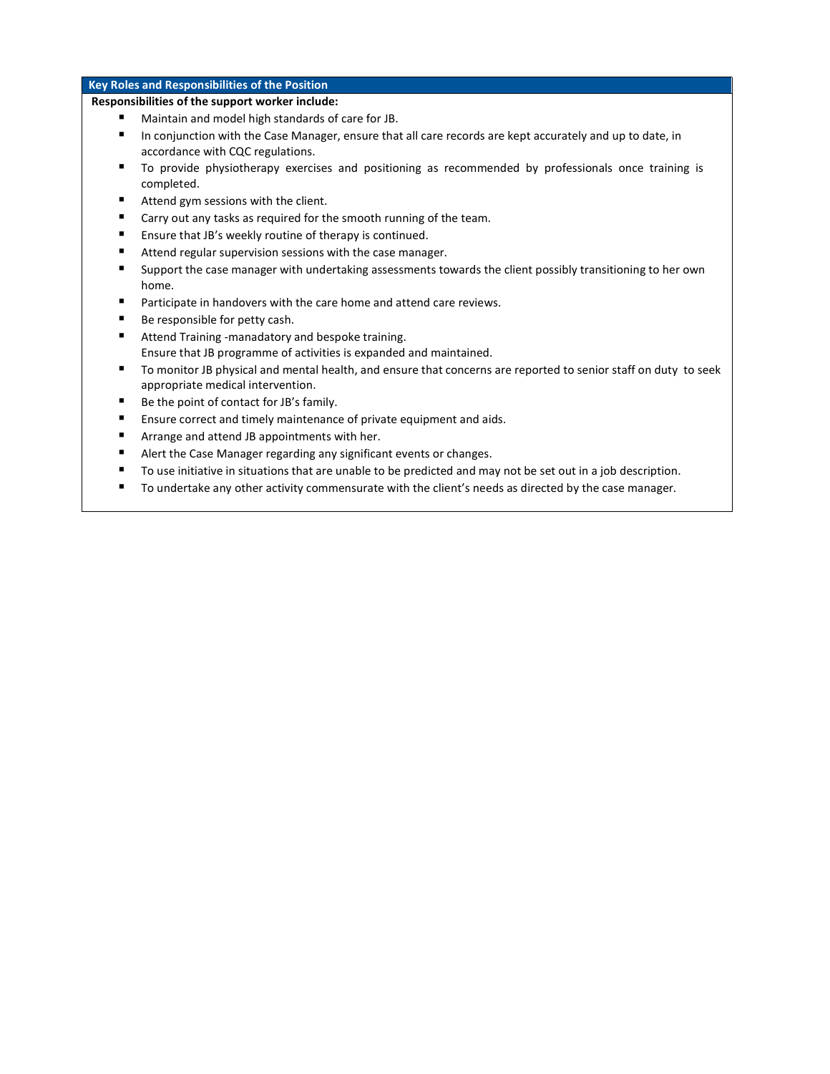## Key Roles and Responsibilities of the Position

## Responsibilities of the support worker include:

- **Maintain and model high standards of care for JB.**
- In conjunction with the Case Manager, ensure that all care records are kept accurately and up to date, in accordance with CQC regulations.
- To provide physiotherapy exercises and positioning as recommended by professionals once training is completed.
- Attend gym sessions with the client.
- Carry out any tasks as required for the smooth running of the team.
- Ensure that JB's weekly routine of therapy is continued.
- Attend regular supervision sessions with the case manager.
- Support the case manager with undertaking assessments towards the client possibly transitioning to her own home.
- **Participate in handovers with the care home and attend care reviews.**
- Be responsible for petty cash.
- Attend Training -manadatory and bespoke training. Ensure that JB programme of activities is expanded and maintained.
- To monitor JB physical and mental health, and ensure that concerns are reported to senior staff on duty to seek appropriate medical intervention.
- Be the point of contact for JB's family.
- Ensure correct and timely maintenance of private equipment and aids.
- Arrange and attend JB appointments with her.
- Alert the Case Manager regarding any significant events or changes.
- To use initiative in situations that are unable to be predicted and may not be set out in a job description.
- To undertake any other activity commensurate with the client's needs as directed by the case manager.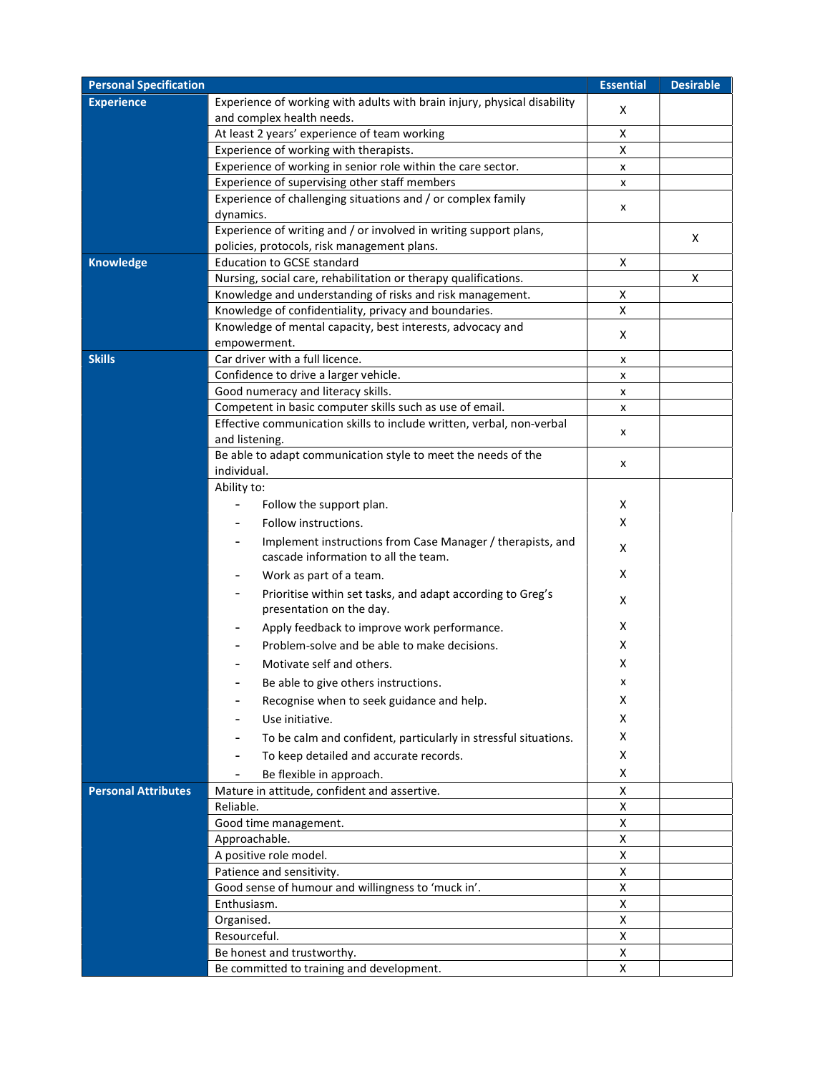| <b>Personal Specification</b> |                                                                                                                  | <b>Essential</b> | <b>Desirable</b> |
|-------------------------------|------------------------------------------------------------------------------------------------------------------|------------------|------------------|
| <b>Experience</b>             | Experience of working with adults with brain injury, physical disability<br>and complex health needs.            | х                |                  |
|                               | At least 2 years' experience of team working                                                                     | Χ                |                  |
|                               | Experience of working with therapists.                                                                           | X                |                  |
|                               | Experience of working in senior role within the care sector.                                                     | x                |                  |
|                               | Experience of supervising other staff members                                                                    | x                |                  |
|                               | Experience of challenging situations and / or complex family<br>dynamics.                                        | x                |                  |
|                               | Experience of writing and / or involved in writing support plans,<br>policies, protocols, risk management plans. |                  | х                |
| <b>Knowledge</b>              | <b>Education to GCSE standard</b>                                                                                | х                |                  |
|                               | Nursing, social care, rehabilitation or therapy qualifications.                                                  |                  | х                |
|                               | Knowledge and understanding of risks and risk management.                                                        | X                |                  |
|                               | Knowledge of confidentiality, privacy and boundaries.                                                            | X                |                  |
|                               | Knowledge of mental capacity, best interests, advocacy and                                                       | X                |                  |
|                               | empowerment.                                                                                                     |                  |                  |
| <b>Skills</b>                 | Car driver with a full licence.                                                                                  | x                |                  |
|                               | Confidence to drive a larger vehicle.                                                                            | x                |                  |
|                               | Good numeracy and literacy skills.                                                                               | x                |                  |
|                               | Competent in basic computer skills such as use of email.                                                         | x                |                  |
|                               | Effective communication skills to include written, verbal, non-verbal<br>and listening.                          | x                |                  |
|                               | Be able to adapt communication style to meet the needs of the<br>individual.                                     | x                |                  |
|                               | Ability to:                                                                                                      |                  |                  |
|                               | Follow the support plan.                                                                                         | х                |                  |
|                               | Follow instructions.                                                                                             | x                |                  |
|                               | Implement instructions from Case Manager / therapists, and<br>cascade information to all the team.               | х                |                  |
|                               | Work as part of a team.                                                                                          | х                |                  |
|                               | Prioritise within set tasks, and adapt according to Greg's<br>presentation on the day.                           | X                |                  |
|                               | Apply feedback to improve work performance.                                                                      | х                |                  |
|                               | Problem-solve and be able to make decisions.                                                                     | х                |                  |
|                               |                                                                                                                  |                  |                  |
|                               | Motivate self and others.                                                                                        | х                |                  |
|                               | Be able to give others instructions.                                                                             |                  |                  |
|                               | Recognise when to seek guidance and help.                                                                        | х                |                  |
|                               | Use initiative.                                                                                                  | X                |                  |
|                               | To be calm and confident, particularly in stressful situations.                                                  | х                |                  |
|                               | To keep detailed and accurate records.                                                                           | X                |                  |
|                               | Be flexible in approach.                                                                                         | X                |                  |
| <b>Personal Attributes</b>    | Mature in attitude, confident and assertive.                                                                     | Χ                |                  |
|                               | Reliable.                                                                                                        | X                |                  |
|                               | Good time management.                                                                                            | X                |                  |
|                               | Approachable.                                                                                                    | X                |                  |
|                               | A positive role model.                                                                                           | X                |                  |
|                               | Patience and sensitivity.                                                                                        | X                |                  |
|                               | Good sense of humour and willingness to 'muck in'.                                                               | X                |                  |
|                               | Enthusiasm.                                                                                                      | x                |                  |
|                               | Organised.                                                                                                       | x                |                  |
|                               | Resourceful.                                                                                                     | X                |                  |
|                               | Be honest and trustworthy.                                                                                       | X                |                  |
|                               | Be committed to training and development.                                                                        | X                |                  |